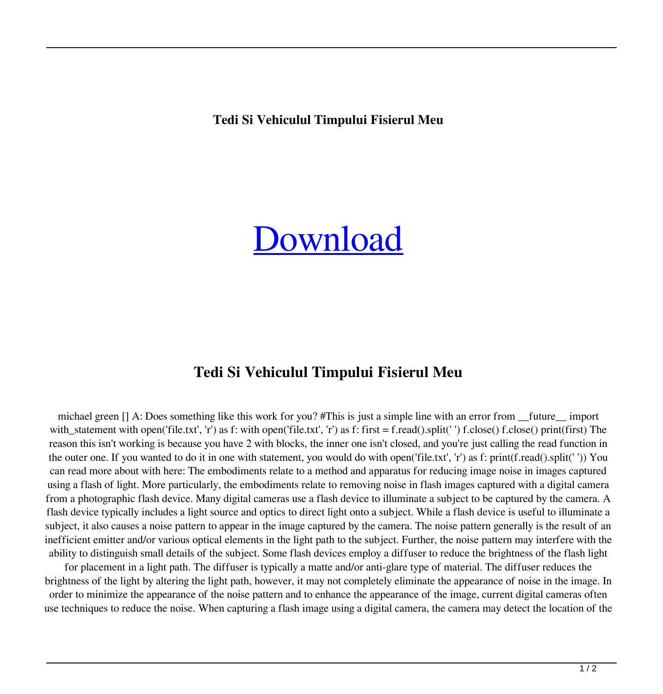**Tedi Si Vehiculul Timpului Fisierul Meu**

## [Download](http://evacdir.com/ZG93bmxvYWR8bk0wTTJwMU1IeDhNVFkxTlRnME1qazRNWHg4TWpVNU1IeDhLRTBwSUZkdmNtUndjbVZ6Y3lCYldFMU1VbEJESUZZeUlGQkVSbDA.annoys/draught/expelling.marfan/insofar/dGVkaSBzaSB2ZWhpY3VsdWwgdGltcHVsdWkgZmlzaWVydWwgbWV1dGV/livid.dastardly)

## **Tedi Si Vehiculul Timpului Fisierul Meu**

michael green [] A: Does something like this work for you? #This is just a simple line with an error from \_\_future\_\_ import with\_statement with open('file.txt', 'r') as f: with open('file.txt', 'r') as f: first = f.read().split(' ') f.close() f.close() print(first) The reason this isn't working is because you have 2 with blocks, the inner one isn't closed, and you're just calling the read function in the outer one. If you wanted to do it in one with statement, you would do with open('file.txt', 'r') as f: print(f.read().split(' ')) You can read more about with here: The embodiments relate to a method and apparatus for reducing image noise in images captured using a flash of light. More particularly, the embodiments relate to removing noise in flash images captured with a digital camera from a photographic flash device. Many digital cameras use a flash device to illuminate a subject to be captured by the camera. A flash device typically includes a light source and optics to direct light onto a subject. While a flash device is useful to illuminate a subject, it also causes a noise pattern to appear in the image captured by the camera. The noise pattern generally is the result of an inefficient emitter and/or various optical elements in the light path to the subject. Further, the noise pattern may interfere with the ability to distinguish small details of the subject. Some flash devices employ a diffuser to reduce the brightness of the flash light

for placement in a light path. The diffuser is typically a matte and/or anti-glare type of material. The diffuser reduces the brightness of the light by altering the light path, however, it may not completely eliminate the appearance of noise in the image. In order to minimize the appearance of the noise pattern and to enhance the appearance of the image, current digital cameras often use techniques to reduce the noise. When capturing a flash image using a digital camera, the camera may detect the location of the